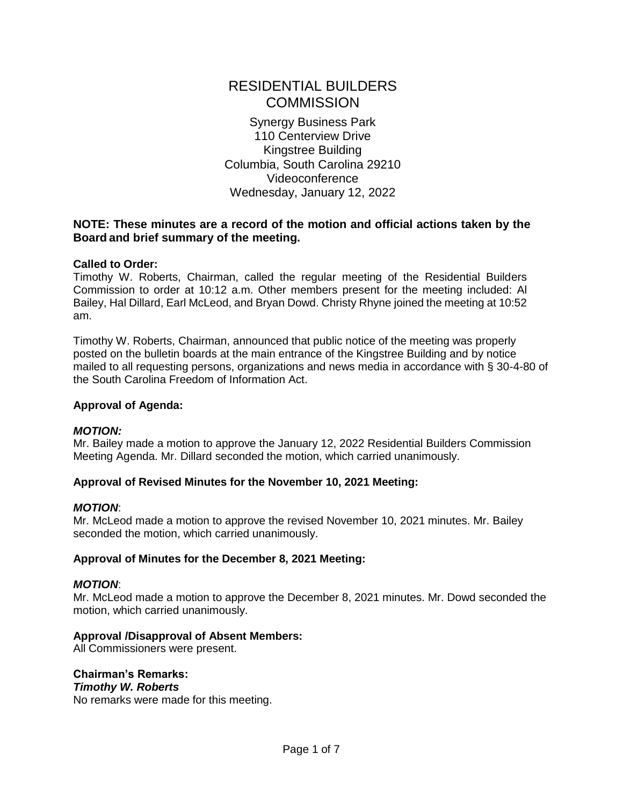# RESIDENTIAL BUILDERS **COMMISSION**

Synergy Business Park 110 Centerview Drive Kingstree Building Columbia, South Carolina 29210 Videoconference Wednesday, January 12, 2022

# **NOTE: These minutes are a record of the motion and official actions taken by the Board and brief summary of the meeting.**

# **Called to Order:**

Timothy W. Roberts, Chairman, called the regular meeting of the Residential Builders Commission to order at 10:12 a.m. Other members present for the meeting included: Al Bailey, Hal Dillard, Earl McLeod, and Bryan Dowd. Christy Rhyne joined the meeting at 10:52 am.

Timothy W. Roberts, Chairman, announced that public notice of the meeting was properly posted on the bulletin boards at the main entrance of the Kingstree Building and by notice mailed to all requesting persons, organizations and news media in accordance with § 30-4-80 of the South Carolina Freedom of Information Act.

## **Approval of Agenda:**

# *MOTION:*

Mr. Bailey made a motion to approve the January 12, 2022 Residential Builders Commission Meeting Agenda. Mr. Dillard seconded the motion, which carried unanimously.

# **Approval of Revised Minutes for the November 10, 2021 Meeting:**

#### *MOTION*:

Mr. McLeod made a motion to approve the revised November 10, 2021 minutes. Mr. Bailey seconded the motion, which carried unanimously.

# **Approval of Minutes for the December 8, 2021 Meeting:**

#### *MOTION*:

Mr. McLeod made a motion to approve the December 8, 2021 minutes. Mr. Dowd seconded the motion, which carried unanimously.

# **Approval /Disapproval of Absent Members:**

All Commissioners were present.

# **Chairman's Remarks:**

#### *Timothy W. Roberts*

No remarks were made for this meeting.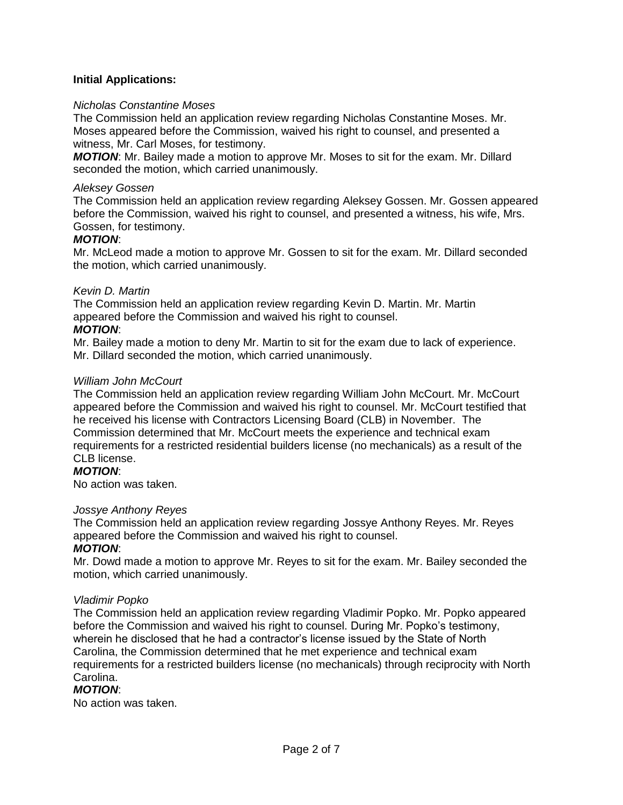# **Initial Applications:**

## *Nicholas Constantine Moses*

The Commission held an application review regarding Nicholas Constantine Moses. Mr. Moses appeared before the Commission, waived his right to counsel, and presented a witness, Mr. Carl Moses, for testimony.

*MOTION*: Mr. Bailey made a motion to approve Mr. Moses to sit for the exam. Mr. Dillard seconded the motion, which carried unanimously.

#### *Aleksey Gossen*

The Commission held an application review regarding Aleksey Gossen. Mr. Gossen appeared before the Commission, waived his right to counsel, and presented a witness, his wife, Mrs. Gossen, for testimony.

#### *MOTION*:

Mr. McLeod made a motion to approve Mr. Gossen to sit for the exam. Mr. Dillard seconded the motion, which carried unanimously.

#### *Kevin D. Martin*

The Commission held an application review regarding Kevin D. Martin. Mr. Martin appeared before the Commission and waived his right to counsel.

#### *MOTION*:

Mr. Bailey made a motion to deny Mr. Martin to sit for the exam due to lack of experience. Mr. Dillard seconded the motion, which carried unanimously.

#### *William John McCourt*

The Commission held an application review regarding William John McCourt. Mr. McCourt appeared before the Commission and waived his right to counsel. Mr. McCourt testified that he received his license with Contractors Licensing Board (CLB) in November. The Commission determined that Mr. McCourt meets the experience and technical exam requirements for a restricted residential builders license (no mechanicals) as a result of the CLB license.

# *MOTION*:

No action was taken.

#### *Jossye Anthony Reyes*

The Commission held an application review regarding Jossye Anthony Reyes. Mr. Reyes appeared before the Commission and waived his right to counsel.

#### *MOTION*:

Mr. Dowd made a motion to approve Mr. Reyes to sit for the exam. Mr. Bailey seconded the motion, which carried unanimously.

#### *Vladimir Popko*

The Commission held an application review regarding Vladimir Popko. Mr. Popko appeared before the Commission and waived his right to counsel. During Mr. Popko's testimony, wherein he disclosed that he had a contractor's license issued by the State of North Carolina, the Commission determined that he met experience and technical exam requirements for a restricted builders license (no mechanicals) through reciprocity with North Carolina.

#### *MOTION*:

No action was taken.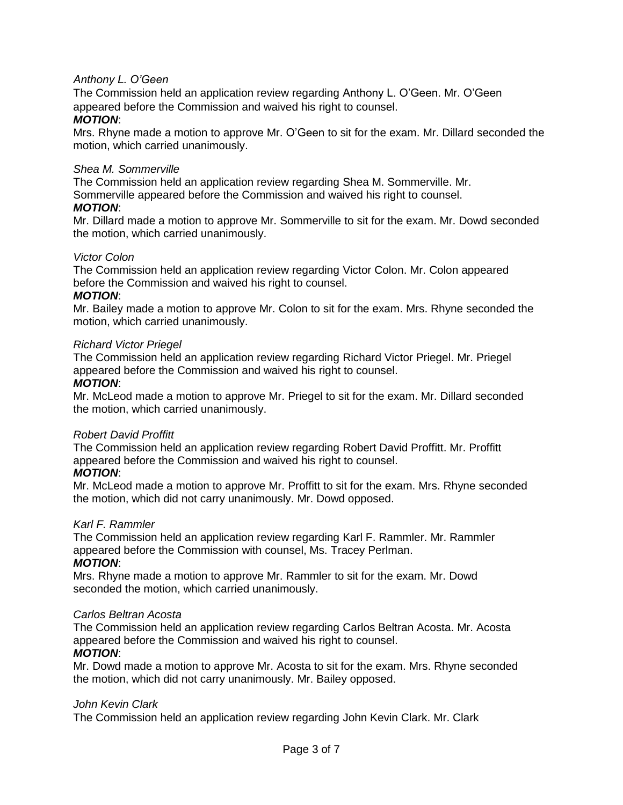# *Anthony L. O'Geen*

The Commission held an application review regarding Anthony L. O'Geen. Mr. O'Geen appeared before the Commission and waived his right to counsel.

#### *MOTION*:

Mrs. Rhyne made a motion to approve Mr. O'Geen to sit for the exam. Mr. Dillard seconded the motion, which carried unanimously.

#### *Shea M. Sommerville*

The Commission held an application review regarding Shea M. Sommerville. Mr. Sommerville appeared before the Commission and waived his right to counsel.

#### *MOTION*:

Mr. Dillard made a motion to approve Mr. Sommerville to sit for the exam. Mr. Dowd seconded the motion, which carried unanimously.

#### *Victor Colon*

The Commission held an application review regarding Victor Colon. Mr. Colon appeared before the Commission and waived his right to counsel.

#### *MOTION*:

Mr. Bailey made a motion to approve Mr. Colon to sit for the exam. Mrs. Rhyne seconded the motion, which carried unanimously.

#### *Richard Victor Priegel*

The Commission held an application review regarding Richard Victor Priegel. Mr. Priegel appeared before the Commission and waived his right to counsel.

#### *MOTION*:

Mr. McLeod made a motion to approve Mr. Priegel to sit for the exam. Mr. Dillard seconded the motion, which carried unanimously.

#### *Robert David Proffitt*

The Commission held an application review regarding Robert David Proffitt. Mr. Proffitt appeared before the Commission and waived his right to counsel.

#### *MOTION*:

Mr. McLeod made a motion to approve Mr. Proffitt to sit for the exam. Mrs. Rhyne seconded the motion, which did not carry unanimously. Mr. Dowd opposed.

# *Karl F. Rammler*

The Commission held an application review regarding Karl F. Rammler. Mr. Rammler appeared before the Commission with counsel, Ms. Tracey Perlman. *MOTION*:

Mrs. Rhyne made a motion to approve Mr. Rammler to sit for the exam. Mr. Dowd seconded the motion, which carried unanimously.

#### *Carlos Beltran Acosta*

The Commission held an application review regarding Carlos Beltran Acosta. Mr. Acosta appeared before the Commission and waived his right to counsel.

# *MOTION*:

Mr. Dowd made a motion to approve Mr. Acosta to sit for the exam. Mrs. Rhyne seconded the motion, which did not carry unanimously. Mr. Bailey opposed.

# *John Kevin Clark*

The Commission held an application review regarding John Kevin Clark. Mr. Clark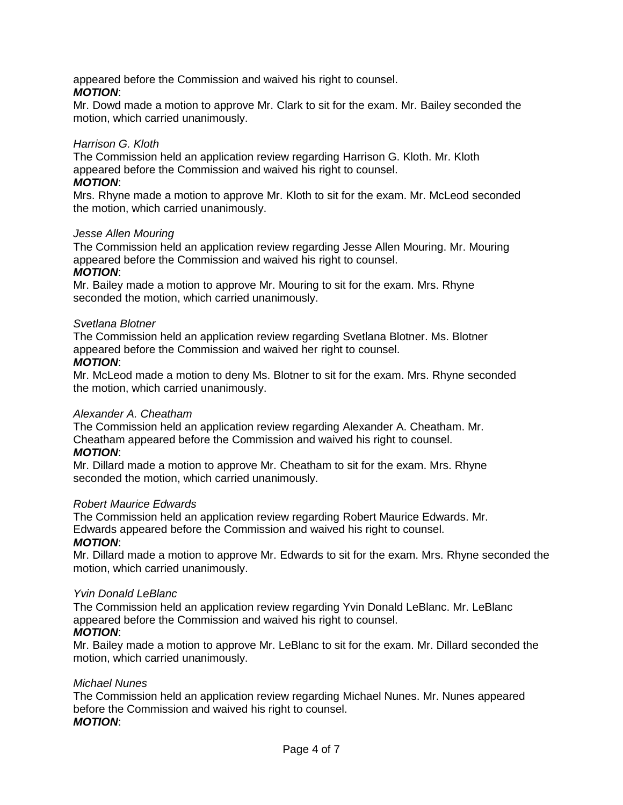appeared before the Commission and waived his right to counsel. *MOTION*:

Mr. Dowd made a motion to approve Mr. Clark to sit for the exam. Mr. Bailey seconded the motion, which carried unanimously.

# *Harrison G. Kloth*

The Commission held an application review regarding Harrison G. Kloth. Mr. Kloth appeared before the Commission and waived his right to counsel. *MOTION*:

Mrs. Rhyne made a motion to approve Mr. Kloth to sit for the exam. Mr. McLeod seconded the motion, which carried unanimously.

# *Jesse Allen Mouring*

The Commission held an application review regarding Jesse Allen Mouring. Mr. Mouring appeared before the Commission and waived his right to counsel.

#### *MOTION*:

Mr. Bailey made a motion to approve Mr. Mouring to sit for the exam. Mrs. Rhyne seconded the motion, which carried unanimously.

#### *Svetlana Blotner*

The Commission held an application review regarding Svetlana Blotner. Ms. Blotner appeared before the Commission and waived her right to counsel.

#### *MOTION*:

Mr. McLeod made a motion to deny Ms. Blotner to sit for the exam. Mrs. Rhyne seconded the motion, which carried unanimously.

# *Alexander A. Cheatham*

The Commission held an application review regarding Alexander A. Cheatham. Mr. Cheatham appeared before the Commission and waived his right to counsel. *MOTION*:

Mr. Dillard made a motion to approve Mr. Cheatham to sit for the exam. Mrs. Rhyne seconded the motion, which carried unanimously.

#### *Robert Maurice Edwards*

The Commission held an application review regarding Robert Maurice Edwards. Mr. Edwards appeared before the Commission and waived his right to counsel.

# *MOTION*:

Mr. Dillard made a motion to approve Mr. Edwards to sit for the exam. Mrs. Rhyne seconded the motion, which carried unanimously.

#### *Yvin Donald LeBlanc*

The Commission held an application review regarding Yvin Donald LeBlanc. Mr. LeBlanc appeared before the Commission and waived his right to counsel.

# *MOTION*:

Mr. Bailey made a motion to approve Mr. LeBlanc to sit for the exam. Mr. Dillard seconded the motion, which carried unanimously.

# *Michael Nunes*

The Commission held an application review regarding Michael Nunes. Mr. Nunes appeared before the Commission and waived his right to counsel. *MOTION*: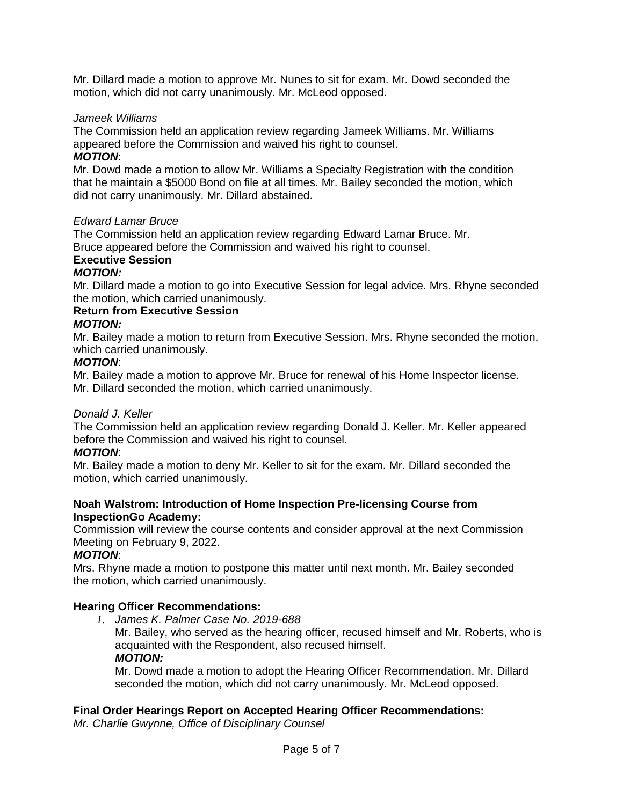Mr. Dillard made a motion to approve Mr. Nunes to sit for exam. Mr. Dowd seconded the motion, which did not carry unanimously. Mr. McLeod opposed.

## *Jameek Williams*

The Commission held an application review regarding Jameek Williams. Mr. Williams appeared before the Commission and waived his right to counsel.

# *MOTION*:

Mr. Dowd made a motion to allow Mr. Williams a Specialty Registration with the condition that he maintain a \$5000 Bond on file at all times. Mr. Bailey seconded the motion, which did not carry unanimously. Mr. Dillard abstained.

#### *Edward Lamar Bruce*

The Commission held an application review regarding Edward Lamar Bruce. Mr. Bruce appeared before the Commission and waived his right to counsel.

#### **Executive Session** *MOTION:*

Mr. Dillard made a motion to go into Executive Session for legal advice. Mrs. Rhyne seconded the motion, which carried unanimously.

#### **Return from Executive Session** *MOTION:*

Mr. Bailey made a motion to return from Executive Session. Mrs. Rhyne seconded the motion, which carried unanimously.

# *MOTION*:

Mr. Bailey made a motion to approve Mr. Bruce for renewal of his Home Inspector license. Mr. Dillard seconded the motion, which carried unanimously.

# *Donald J. Keller*

The Commission held an application review regarding Donald J. Keller. Mr. Keller appeared before the Commission and waived his right to counsel.

# *MOTION*:

Mr. Bailey made a motion to deny Mr. Keller to sit for the exam. Mr. Dillard seconded the motion, which carried unanimously.

#### **Noah Walstrom: Introduction of Home Inspection Pre-licensing Course from InspectionGo Academy:**

Commission will review the course contents and consider approval at the next Commission Meeting on February 9, 2022.

# *MOTION*:

Mrs. Rhyne made a motion to postpone this matter until next month. Mr. Bailey seconded the motion, which carried unanimously.

# **Hearing Officer Recommendations:**

- *1. James K. Palmer Case No. 2019-688*
	- Mr. Bailey, who served as the hearing officer, recused himself and Mr. Roberts, who is acquainted with the Respondent, also recused himself. *MOTION:*

Mr. Dowd made a motion to adopt the Hearing Officer Recommendation. Mr. Dillard seconded the motion, which did not carry unanimously. Mr. McLeod opposed.

# **Final Order Hearings Report on Accepted Hearing Officer Recommendations:**

*Mr. Charlie Gwynne, Office of Disciplinary Counsel*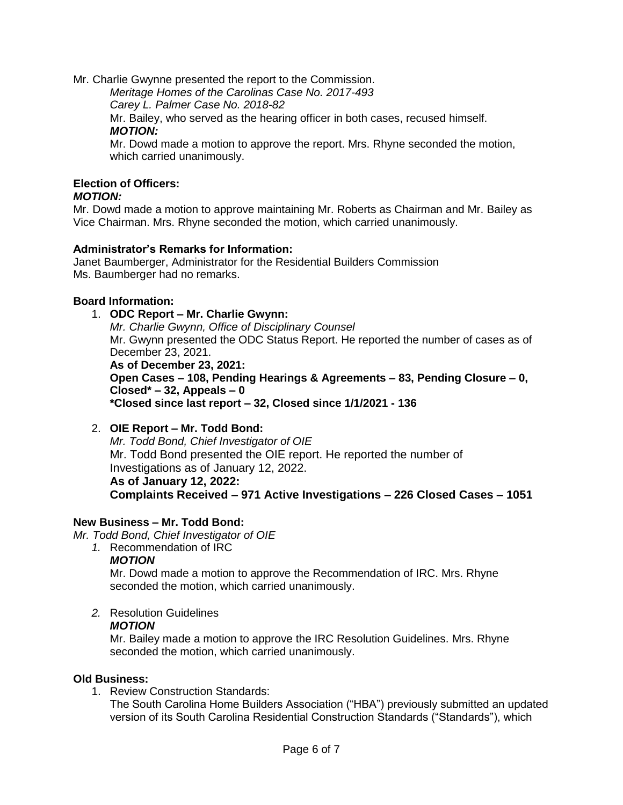Mr. Charlie Gwynne presented the report to the Commission.

*Meritage Homes of the Carolinas Case No. 2017-493*

*Carey L. Palmer Case No. 2018-82*

Mr. Bailey, who served as the hearing officer in both cases, recused himself. *MOTION:*

Mr. Dowd made a motion to approve the report. Mrs. Rhyne seconded the motion, which carried unanimously.

# **Election of Officers:**

# *MOTION:*

Mr. Dowd made a motion to approve maintaining Mr. Roberts as Chairman and Mr. Bailey as Vice Chairman. Mrs. Rhyne seconded the motion, which carried unanimously.

# **Administrator's Remarks for Information:**

Janet Baumberger, Administrator for the Residential Builders Commission Ms. Baumberger had no remarks.

# **Board Information:**

1. **ODC Report – Mr. Charlie Gwynn:** *Mr. Charlie Gwynn, Office of Disciplinary Counsel* Mr. Gwynn presented the ODC Status Report. He reported the number of cases as of December 23, 2021. **As of December 23, 2021:**

**Open Cases – 108, Pending Hearings & Agreements – 83, Pending Closure – 0, Closed\* – 32, Appeals – 0 \*Closed since last report – 32, Closed since 1/1/2021 - 136**

2. **OIE Report – Mr. Todd Bond:** *Mr. Todd Bond, Chief Investigator of OIE* Mr. Todd Bond presented the OIE report. He reported the number of Investigations as of January 12, 2022. **As of January 12, 2022: Complaints Received – 971 Active Investigations – 226 Closed Cases – 1051**

# **New Business – Mr. Todd Bond:**

- *Mr. Todd Bond, Chief Investigator of OIE*
	- *1.* Recommendation of IRC

# *MOTION*

Mr. Dowd made a motion to approve the Recommendation of IRC. Mrs. Rhyne seconded the motion, which carried unanimously.

*2.* Resolution Guidelines

# *MOTION*

Mr. Bailey made a motion to approve the IRC Resolution Guidelines. Mrs. Rhyne seconded the motion, which carried unanimously.

# **Old Business:**

1. Review Construction Standards:

The South Carolina Home Builders Association ("HBA") previously submitted an updated version of its South Carolina Residential Construction Standards ("Standards"), which